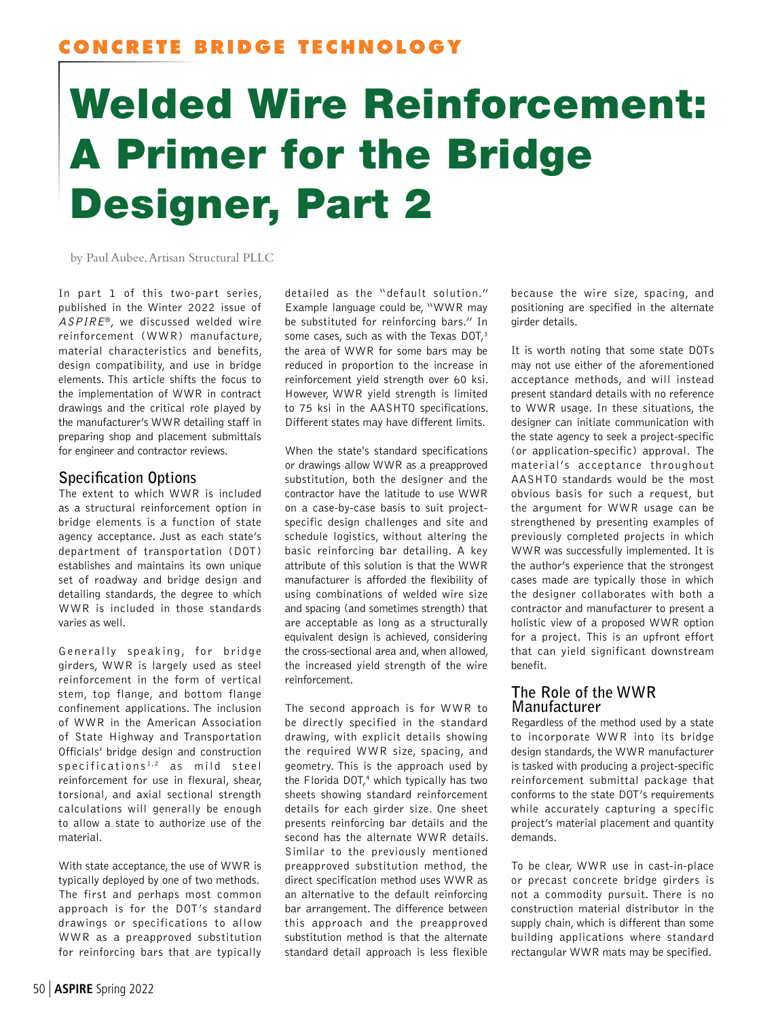# Welded Wire Reinforcement: A Primer for the Bridge Designer, Part 2

by Paul Aubee, Artisan Structural PLLC

In part 1 of this two-part series, published in the Winter 2022 issue of ASPIRE®, we discussed welded wire reinforcement (WWR) manufacture, material characteristics and benefits, design compatibility, and use in bridge elements. This article shifts the focus to the implementation of WWR in contract drawings and the critical role played by the manufacturer's WWR detailing staff in preparing shop and placement submittals for engineer and contractor reviews.

## **Specification Options**

The extent to which WWR is included as a structural reinforcement option in bridge elements is a function of state agency acceptance. Just as each state's department of transportation (DOT) establishes and maintains its own unique set of roadway and bridge design and detailing standards, the degree to which WWR is included in those standards varies as well.

Generally speaking, for bridge girders, WWR is largely used as steel reinforcement in the form of vertical stem, top flange, and bottom flange confinement applications. The inclusion of WWR in the American Association of State Highway and Transportation Officials' bridge design and construction specifications<sup>1,2</sup> as mild steel reinforcement for use in flexural, shear, torsional, and axial sectional strength calculations will generally be enough to allow a state to authorize use of the material.

With state acceptance, the use of WWR is typically deployed by one of two methods. The first and perhaps most common approach is for the DOT's standard drawings or specifications to allow WWR as a preapproved substitution for reinforcing bars that are typically

detailed as the "default solution." Example language could be, "WWR may be substituted for reinforcing bars." In some cases, such as with the Texas DOT,<sup>3</sup> the area of WWR for some bars may be reduced in proportion to the increase in reinforcement yield strength over 60 ksi. However, WWR yield strength is limited to 75 ksi in the AASHTO specifications. Different states may have different limits.

When the state's standard specifications or drawings allow WWR as a preapproved substitution, both the designer and the contractor have the latitude to use WWR on a case-by-case basis to suit projectspecific design challenges and site and schedule logistics, without altering the basic reinforcing bar detailing. A key attribute of this solution is that the WWR manufacturer is afforded the flexibility of using combinations of welded wire size and spacing (and sometimes strength) that are acceptable as long as a structurally equivalent design is achieved, considering the cross-sectional area and, when allowed, the increased yield strength of the wire reinforcement.

The second approach is for WWR to be directly specified in the standard drawing, with explicit details showing the required WWR size, spacing, and geometry. This is the approach used by the Florida DOT,<sup>4</sup> which typically has two sheets showing standard reinforcement details for each girder size. One sheet presents reinforcing bar details and the second has the alternate WWR details. Similar to the previously mentioned preapproved substitution method, the direct specification method uses WWR as an alternative to the default reinforcing bar arrangement. The difference between this approach and the preapproved substitution method is that the alternate standard detail approach is less flexible

because the wire size, spacing, and positioning are specified in the alternate girder details.

It is worth noting that some state DOTs may not use either of the aforementioned acceptance methods, and will instead present standard details with no reference to WWR usage. In these situations, the designer can initiate communication with the state agency to seek a project-specific (or application-specific) approval. The material's acceptance throughout AASHTO standards would be the most obvious basis for such a request, but the argument for WWR usage can be strengthened by presenting examples of previously completed projects in which WWR was successfully implemented. It is the author's experience that the strongest cases made are typically those in which the designer collaborates with both a contractor and manufacturer to present a holistic view of a proposed WWR option for a project. This is an upfront effort that can yield significant downstream benefit.

### **The Role of the WWR Manufacturer**

Regardless of the method used by a state to incorporate WWR into its bridge design standards, the WWR manufacturer is tasked with producing a project-specific reinforcement submittal package that conforms to the state DOT's requirements while accurately capturing a specific project's material placement and quantity demands.

To be clear, WWR use in cast-in-place or precast concrete bridge girders is not a commodity pursuit. There is no construction material distributor in the supply chain, which is different than some building applications where standard rectangular WWR mats may be specified.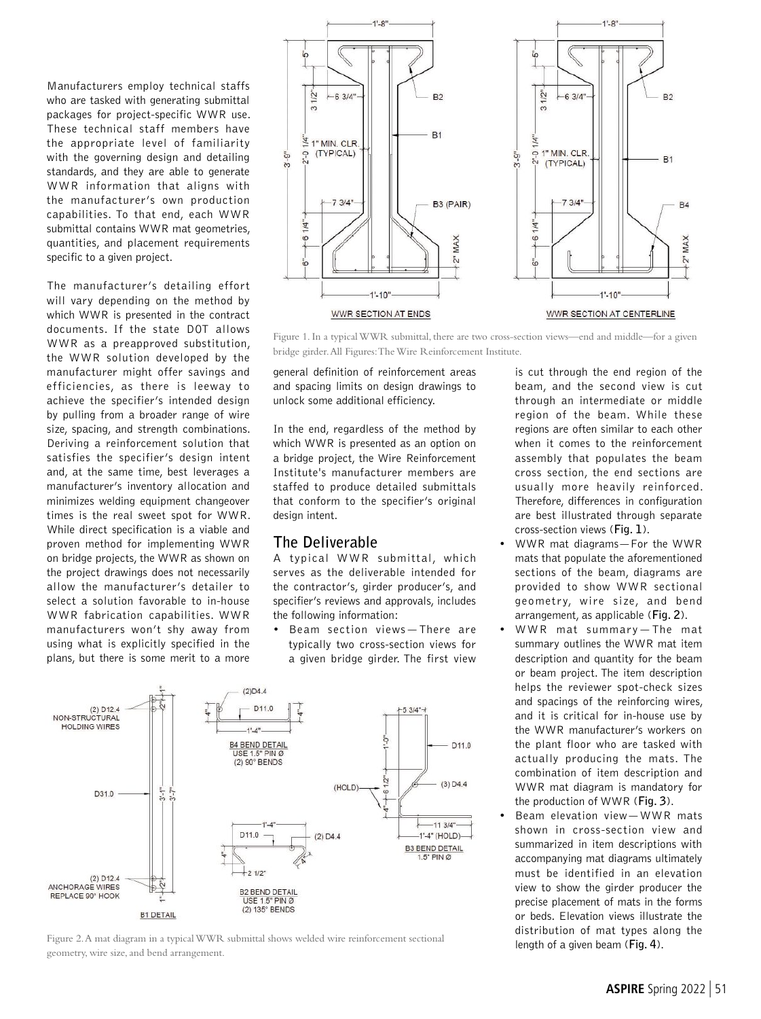Manufacturers employ technical staffs who are tasked with generating submittal packages for project-specific WWR use. These technical staff members have the appropriate level of familiarity with the governing design and detailing standards, and they are able to generate WWR information that aligns with the manufacturer's own production capabilities. To that end, each WWR submittal contains WWR mat geometries, quantities, and placement requirements specific to a given project.

The manufacturer's detailing effort will vary depending on the method by which WWR is presented in the contract documents. If the state DOT allows WWR as a preapproved substitution, the WWR solution developed by the manufacturer might offer savings and efficiencies, as there is leeway to achieve the specifier's intended design by pulling from a broader range of wire size, spacing, and strength combinations. Deriving a reinforcement solution that satisfies the specifier's design intent and, at the same time, best leverages a manufacturer's inventory allocation and minimizes welding equipment changeover times is the real sweet spot for WWR. While direct specification is a viable and proven method for implementing WWR on bridge projects, the WWR as shown on the project drawings does not necessarily allow the manufacturer's detailer to select a solution favorable to in-house WWR fabrication capabilities. WWR manufacturers won't shy away from using what is explicitly specified in the plans, but there is some merit to a more



Figure 1. In a typical WWR submittal, there are two cross-section views—end and middle—for a given bridge girder. All Figures: The Wire Reinforcement Institute.

general definition of reinforcement areas and spacing limits on design drawings to unlock some additional efficiency.

In the end, regardless of the method by which WWR is presented as an option on a bridge project, the Wire Reinforcement Institute's manufacturer members are staffed to produce detailed submittals that conform to the specifier's original design intent.

#### **The Deliverable**

A typical WWR submittal, which serves as the deliverable intended for the contractor's, girder producer's, and specifier's reviews and approvals, includes the following information:

• Beam section views—There are typically two cross-section views for a given bridge girder. The first view



Figure 2. A mat diagram in a typical WWR submittal shows welded wire reinforcement sectional geometry, wire size, and bend arrangement.

is cut through the end region of the beam, and the second view is cut through an intermediate or middle region of the beam. While these regions are often similar to each other when it comes to the reinforcement assembly that populates the beam cross section, the end sections are usually more heavily reinforced. Therefore, differences in configuration are best illustrated through separate cross-section views (**Fig. 1**).

- WWR mat diagrams—For the WWR mats that populate the aforementioned sections of the beam, diagrams are provided to show WWR sectional geometry, wire size, and bend arrangement, as applicable (**Fig. 2**).
- WWR mat summary—The mat summary outlines the WWR mat item description and quantity for the beam or beam project. The item description helps the reviewer spot-check sizes and spacings of the reinforcing wires, and it is critical for in-house use by the WWR manufacturer's workers on the plant floor who are tasked with actually producing the mats. The combination of item description and WWR mat diagram is mandatory for the production of WWR (**Fig. 3**).
- Beam elevation view-WWR mats shown in cross-section view and summarized in item descriptions with accompanying mat diagrams ultimately must be identified in an elevation view to show the girder producer the precise placement of mats in the forms or beds. Elevation views illustrate the distribution of mat types along the length of a given beam (**Fig. 4**).